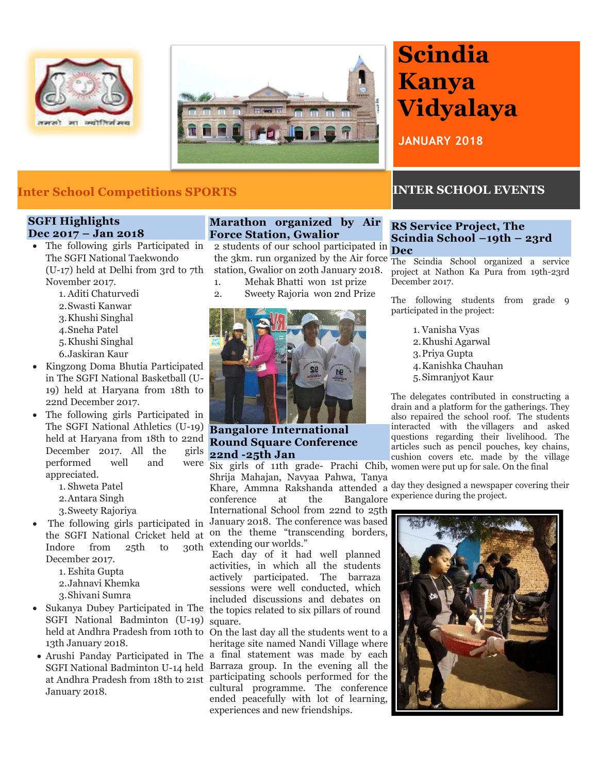



## **Inter School Competitions SPORTS INTER SCHOOL EVENTS**

#### **SGFI Highlights Dec 2017 – Jan 2018**

- The following girls Participated in The SGFI National Taekwondo (U-17) held at Delhi from 3rd to 7th November 2017.
	- 1. Aditi Chaturvedi
	- 2.Swasti Kanwar
	- 3.Khushi Singhal
	- 4.Sneha Patel
	- 5.Khushi Singhal
	- 6.Jaskiran Kaur
- Kingzong Doma Bhutia Participated in The SGFI National Basketball (U-19) held at Haryana from 18th to 22nd December 2017.
- The following girls Participated in The SGFI National Athletics (U-19) **Bangalore International**  held at Haryana from 18th to 22nd **Round Square Conference** December 2017. All the girls performed well and appreciated.
	- 1. Shweta Patel
	- 2.Antara Singh
	- 3.Sweety Rajoriya
- Indore from  $25th$  to December 2017.
	- 1. Eshita Gupta
	- 2.Jahnavi Khemka
	- 3.Shivani Sumra
- SGFI National Badminton (U-19) square. 13th January 2018.
- January 2018.

#### **Marathon organized by Air Force Station, Gwalior**

2 students of our school participated in the 3km. run organized by the Air force The Scindia School organized a service station, Gwalior on 20th January 2018.

- 1. Mehak Bhatti won 1st prize
- 2. Sweety Rajoria won 2nd Prize



**22nd -25th Jan**

 The following girls participated in January 2018. The conference was based the SGFI National Cricket held at on the theme "transcending borders, Six girls of 11th grade- Prachi Chib, women were put up for sale. On the final Shrija Mahajan, Navyaa Pahwa, Tanya experience at the Bangalore experience during the project. International School from 22nd to 25th extending our worlds."

• Sukanya Dubey Participated in The the topics related to six pillars of round Each day of it had well planned activities, in which all the students actively participated. The barraza sessions were well conducted, which included discussions and debates on

held at Andhra Pradesh from 10th to On the last day all the students went to a Arushi Panday Participated in The a final statement was made by each SGFI National Badminton U-14 held Barraza group. In the evening all the at Andhra Pradesh from 18th to 21st participating schools performed for the heritage site named Nandi Village where cultural programme. The conference ended peacefully with lot of learning, experiences and new friendships.

# **Scindia Kanya Vidyalaya**

**JANUARY 2018**

#### **RS Service Project, The Scindia School –19th – 23rd Dec**

project at Nathon Ka Pura from 19th-23rd December 2017.

The following students from grade 9 participated in the project:

> 1. Vanisha Vyas 2.Khushi Agarwal 3.Priya Gupta 4.Kanishka Chauhan 5.Simranjyot Kaur

drain and a platform for the gatherings. They The delegates contributed in constructing a also repaired the school roof. The students interacted with the villagers and asked questions regarding their livelihood. The articles such as pencil pouches, key chains, cushion covers etc. made by the village

Khare, Ammna Rakshanda attended a day they designed a newspaper covering their

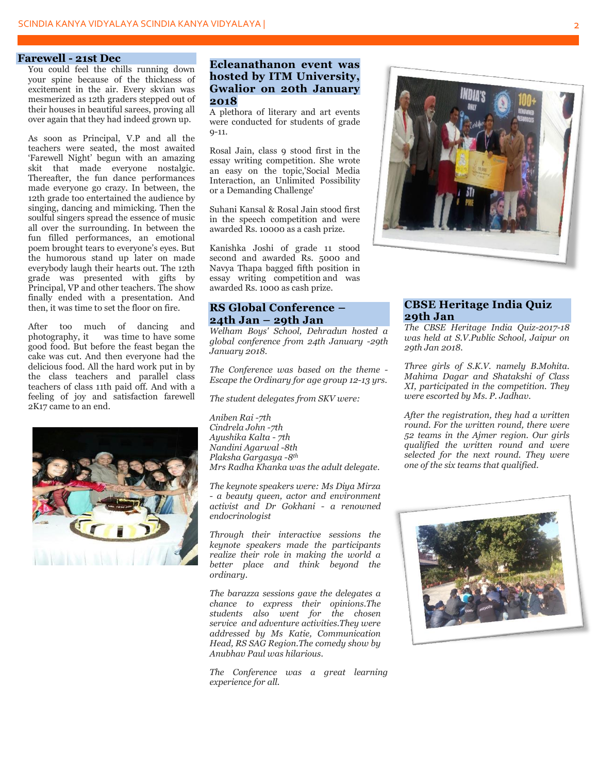#### **Farewell - 21st Dec**

You could feel the chills running down your spine because of the thickness of excitement in the air. Every skvian was mesmerized as 12th graders stepped out of their houses in beautiful sarees, proving all over again that they had indeed grown up.

As soon as Principal, V.P and all the teachers were seated, the most awaited "Farewell Night" begun with an amazing skit that made everyone nostalgic. Thereafter, the fun dance performances made everyone go crazy. In between, the 12th grade too entertained the audience by singing, dancing and mimicking. Then the soulful singers spread the essence of music all over the surrounding. In between the fun filled performances, an emotional poem brought tears to everyone's eyes. But the humorous stand up later on made everybody laugh their hearts out. The 12th grade was presented with gifts by Principal, VP and other teachers. The show finally ended with a presentation. And then, it was time to set the floor on fire.

After too much of dancing and photography, it was time to have some good food. But before the feast began the cake was cut. And then everyone had the delicious food. All the hard work put in by the class teachers and parallel class teachers of class 11th paid off. And with a feeling of joy and satisfaction farewell 2K17 came to an end.



#### **Ecleanathanon event was hosted by ITM University, Gwalior on 20th January 2018**

A plethora of literary and art events were conducted for students of grade  $0 - 11$ .

Rosal Jain, class 9 stood first in the essay writing competition. She wrote an easy on the topic,'Social Media Interaction, an Unlimited Possibility or a Demanding Challenge'

Suhani Kansal & Rosal Jain stood first in the speech competition and were awarded Rs. 10000 as a cash prize.

Kanishka Joshi of grade 11 stood second and awarded Rs. 5000 and Navya Thapa bagged fifth position in essay writing competition and was awarded Rs. 1000 as cash prize.

#### **RS Global Conference – 24th Jan – 29th Jan**

*Welham Boys' School, Dehradun hosted a global conference from 24th January -29th January 2018.*

*The Conference was based on the theme - Escape the Ordinary for age group 12-13 yrs.*

*The student delegates from SKV were:*

*Aniben Rai -7th Cindrela John -7th Ayushika Kalta - 7th Nandini Agarwal -8th Plaksha Gargasya -8th Mrs Radha Khanka was the adult delegate.*

*The keynote speakers were: Ms Diya Mirza - a beauty queen, actor and environment activist and Dr Gokhani - a renowned endocrinologist*

*Through their interactive sessions the keynote speakers made the participants realize their role in making the world a better place and think beyond the ordinary.*

*The barazza sessions gave the delegates a chance to express their opinions.The students also went for the chosen service and adventure activities.They were addressed by Ms Katie, Communication Head, RS SAG Region.The comedy show by Anubhav Paul was hilarious.*

*The Conference was a great learning experience for all.*



#### **CBSE Heritage India Quiz 29th Jan**

*The CBSE Heritage India Quiz-2017-18 was held at S.V.Public School, Jaipur on 29th Jan 2018.*

*Three girls of S.K.V. namely B.Mohita. Mahima Dagar and Shatakshi of Class XI, participated in the competition. They were escorted by Ms. P. Jadhav.*

*After the registration, they had a written round. For the written round, there were 52 teams in the Ajmer region. Our girls qualified the written round and were selected for the next round. They were one of the six teams that qualified.* 

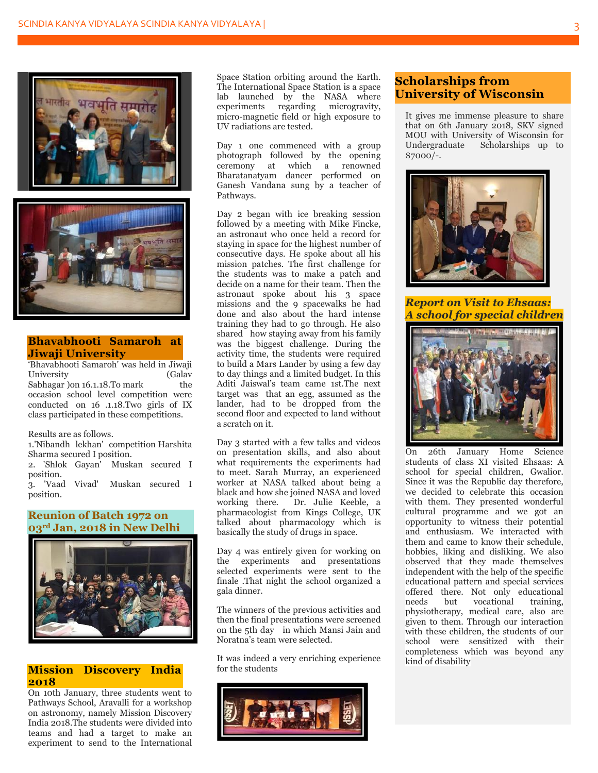

#### **Bhavabhooti Samaroh at Jiwaji University**

"Bhavabhooti Samaroh' was held in Jiwaji University (Galav Sabhagar ) on 16.1.18. To mark the occasion school level competition were conducted on 16 .1.18.Two girls of IX class participated in these competitions.

Results are as follows.

1.'Nibandh lekhan' competition Harshita Sharma secured I position.

2. 'Shlok Gayan' Muskan secured I position.

3. 'Vaad Vivad' Muskan secured I position.

#### **Reunion of Batch 1972 on 03rd Jan, 2018 in New Delhi**



#### **Mission Discovery India 2018**

On 10th January, three students went to Pathways School, Aravalli for a workshop on astronomy, namely Mission Discovery India 2018.The students were divided into teams and had a target to make an experiment to send to the International

Space Station orbiting around the Earth. The International Space Station is a space lab launched by the NASA where experiments regarding microgravity, micro-magnetic field or high exposure to UV radiations are tested.

Day 1 one commenced with a group photograph followed by the opening ceremony at which a renowned Bharatanatyam dancer performed on Ganesh Vandana sung by a teacher of Pathways.

Day 2 began with ice breaking session followed by a meeting with Mike Fincke, an astronaut who once held a record for staying in space for the highest number of consecutive days. He spoke about all his mission patches. The first challenge for the students was to make a patch and decide on a name for their team. Then the astronaut spoke about his 3 space missions and the 9 spacewalks he had done and also about the hard intense training they had to go through. He also shared how staying away from his family was the biggest challenge. During the activity time, the students were required to build a Mars Lander by using a few day to day things and a limited budget. In this Aditi Jaiswal"s team came 1st.The next target was that an egg, assumed as the lander, had to be dropped from the second floor and expected to land without a scratch on it.

Day 3 started with a few talks and videos on presentation skills, and also about what requirements the experiments had to meet. Sarah Murray, an experienced worker at NASA talked about being a black and how she joined NASA and loved working there. Dr. Julie Keeble, a pharmacologist from Kings College, UK talked about pharmacology which is basically the study of drugs in space.

Day 4 was entirely given for working on the experiments and presentations selected experiments were sent to the finale .That night the school organized a gala dinner.

The winners of the previous activities and then the final presentations were screened on the 5th day in which Mansi Jain and Noratna"s team were selected.

It was indeed a very enriching experience for the students



### **Scholarships from University of Wisconsin**

It gives me immense pleasure to share that on 6th January 2018, SKV signed MOU with University of Wisconsin for Undergraduate Scholarships up to \$7000/-.



*Report on Visit to Ehsaas: A school for special children*



On 26th January Home Science students of class XI visited Ehsaas: A school for special children, Gwalior. Since it was the Republic day therefore, we decided to celebrate this occasion with them. They presented wonderful cultural programme and we got an opportunity to witness their potential and enthusiasm. We interacted with them and came to know their schedule, hobbies, liking and disliking. We also observed that they made themselves independent with the help of the specific educational pattern and special services offered there. Not only educational<br>needs but vocational training needs but vocational training, physiotherapy, medical care, also are given to them. Through our interaction with these children, the students of our school were sensitized with their completeness which was beyond any kind of disability